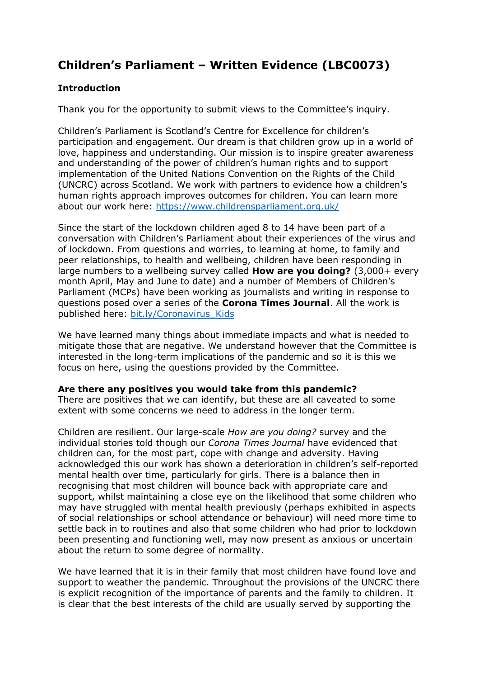# **Children's Parliament – Written Evidence (LBC0073)**

# **Introduction**

Thank you for the opportunity to submit views to the Committee's inquiry.

Children's Parliament is Scotland's Centre for Excellence for children's participation and engagement. Our dream is that children grow up in a world of love, happiness and understanding. Our mission is to inspire greater awareness and understanding of the power of children's human rights and to support implementation of the United Nations Convention on the Rights of the Child (UNCRC) across Scotland. We work with partners to evidence how a children's human rights approach improves outcomes for children. You can learn more about our work here: <https://www.childrensparliament.org.uk/>

Since the start of the lockdown children aged 8 to 14 have been part of a conversation with Children's Parliament about their experiences of the virus and of lockdown. From questions and worries, to learning at home, to family and peer relationships, to health and wellbeing, children have been responding in large numbers to a wellbeing survey called **How are you doing?** (3,000+ every month April, May and June to date) and a number of Members of Children's Parliament (MCPs) have been working as journalists and writing in response to questions posed over a series of the **Corona Times Journal**. All the work is published here: [bit.ly/Coronavirus\\_Kids](https://www.childrensparliament.org.uk/our-work/children-and-coronavirus/)

We have learned many things about immediate impacts and what is needed to mitigate those that are negative. We understand however that the Committee is interested in the long-term implications of the pandemic and so it is this we focus on here, using the questions provided by the Committee.

## **Are there any positives you would take from this pandemic?**

There are positives that we can identify, but these are all caveated to some extent with some concerns we need to address in the longer term.

Children are resilient. Our large-scale *How are you doing?* survey and the individual stories told though our *Corona Times Journal* have evidenced that children can, for the most part, cope with change and adversity. Having acknowledged this our work has shown a deterioration in children's self-reported mental health over time, particularly for girls. There is a balance then in recognising that most children will bounce back with appropriate care and support, whilst maintaining a close eye on the likelihood that some children who may have struggled with mental health previously (perhaps exhibited in aspects of social relationships or school attendance or behaviour) will need more time to settle back in to routines and also that some children who had prior to lockdown been presenting and functioning well, may now present as anxious or uncertain about the return to some degree of normality.

We have learned that it is in their family that most children have found love and support to weather the pandemic. Throughout the provisions of the UNCRC there is explicit recognition of the importance of parents and the family to children. It is clear that the best interests of the child are usually served by supporting the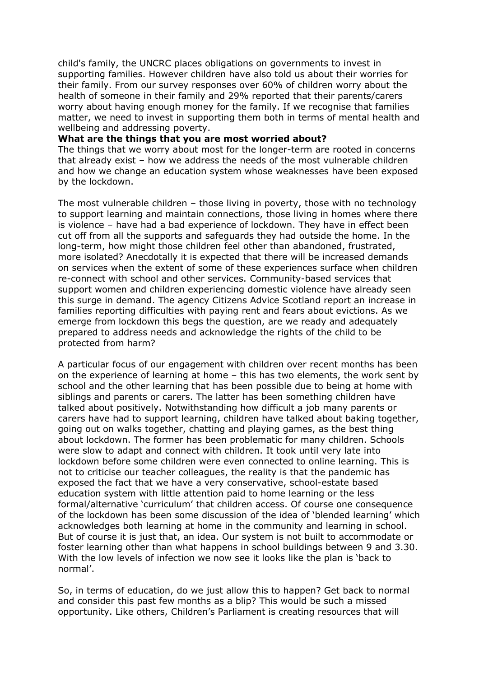child's family, the UNCRC places obligations on governments to invest in supporting families. However children have also told us about their worries for their family. From our survey responses over 60% of children worry about the health of someone in their family and 29% reported that their parents/carers worry about having enough money for the family. If we recognise that families matter, we need to invest in supporting them both in terms of mental health and wellbeing and addressing poverty.

#### **What are the things that you are most worried about?**

The things that we worry about most for the longer-term are rooted in concerns that already exist – how we address the needs of the most vulnerable children and how we change an education system whose weaknesses have been exposed by the lockdown.

The most vulnerable children – those living in poverty, those with no technology to support learning and maintain connections, those living in homes where there is violence – have had a bad experience of lockdown. They have in effect been cut off from all the supports and safeguards they had outside the home. In the long-term, how might those children feel other than abandoned, frustrated, more isolated? Anecdotally it is expected that there will be increased demands on services when the extent of some of these experiences surface when children re-connect with school and other services. Community-based services that support women and children experiencing domestic violence have already seen this surge in demand. The agency Citizens Advice Scotland report an increase in families reporting difficulties with paying rent and fears about evictions. As we emerge from lockdown this begs the question, are we ready and adequately prepared to address needs and acknowledge the rights of the child to be protected from harm?

A particular focus of our engagement with children over recent months has been on the experience of learning at home – this has two elements, the work sent by school and the other learning that has been possible due to being at home with siblings and parents or carers. The latter has been something children have talked about positively. Notwithstanding how difficult a job many parents or carers have had to support learning, children have talked about baking together, going out on walks together, chatting and playing games, as the best thing about lockdown. The former has been problematic for many children. Schools were slow to adapt and connect with children. It took until very late into lockdown before some children were even connected to online learning. This is not to criticise our teacher colleagues, the reality is that the pandemic has exposed the fact that we have a very conservative, school-estate based education system with little attention paid to home learning or the less formal/alternative 'curriculum' that children access. Of course one consequence of the lockdown has been some discussion of the idea of 'blended learning' which acknowledges both learning at home in the community and learning in school. But of course it is just that, an idea. Our system is not built to accommodate or foster learning other than what happens in school buildings between 9 and 3.30. With the low levels of infection we now see it looks like the plan is 'back to normal'.

So, in terms of education, do we just allow this to happen? Get back to normal and consider this past few months as a blip? This would be such a missed opportunity. Like others, Children's Parliament is creating resources that will